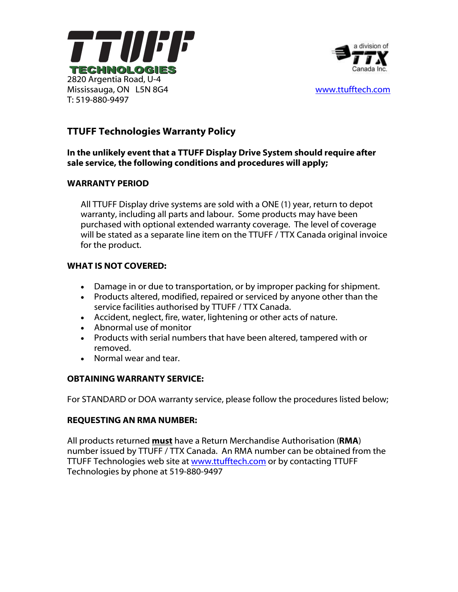



# TTUFF Technologies Warranty Policy

#### In the unlikely event that a TTUFF Display Drive System should require after sale service, the following conditions and procedures will apply;

#### WARRANTY PERIOD

All TTUFF Display drive systems are sold with a ONE (1) year, return to depot warranty, including all parts and labour. Some products may have been purchased with optional extended warranty coverage. The level of coverage will be stated as a separate line item on the TTUFF / TTX Canada original invoice for the product.

### WHAT IS NOT COVERED:

- Damage in or due to transportation, or by improper packing for shipment.
- Products altered, modified, repaired or serviced by anyone other than the service facilities authorised by TTUFF / TTX Canada.
- Accident, neglect, fire, water, lightening or other acts of nature.
- Abnormal use of monitor
- Products with serial numbers that have been altered, tampered with or removed.
- Normal wear and tear.

## OBTAINING WARRANTY SERVICE:

For STANDARD or DOA warranty service, please follow the procedures listed below;

#### REQUESTING AN RMA NUMBER:

All products returned must have a Return Merchandise Authorisation (RMA) number issued by TTUFF / TTX Canada. An RMA number can be obtained from the TTUFF Technologies web site at www.ttufftech.com or by contacting TTUFF Technologies by phone at 519-880-9497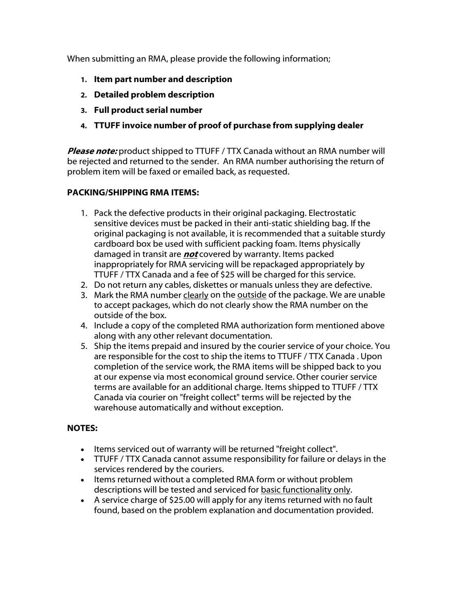When submitting an RMA, please provide the following information;

- 1. Item part number and description
- 2. Detailed problem description
- 3. Full product serial number
- 4. TTUFF invoice number of proof of purchase from supplying dealer

**Please note:** product shipped to TTUFF / TTX Canada without an RMA number will be rejected and returned to the sender. An RMA number authorising the return of problem item will be faxed or emailed back, as requested.

#### PACKING/SHIPPING RMA ITEMS:

- 1. Pack the defective products in their original packaging. Electrostatic sensitive devices must be packed in their anti-static shielding bag. If the original packaging is not available, it is recommended that a suitable sturdy cardboard box be used with sufficient packing foam. Items physically damaged in transit are **not** covered by warranty. Items packed inappropriately for RMA servicing will be repackaged appropriately by TTUFF / TTX Canada and a fee of \$25 will be charged for this service.
- 2. Do not return any cables, diskettes or manuals unless they are defective.
- 3. Mark the RMA number clearly on the outside of the package. We are unable to accept packages, which do not clearly show the RMA number on the outside of the box.
- 4. Include a copy of the completed RMA authorization form mentioned above along with any other relevant documentation.
- 5. Ship the items prepaid and insured by the courier service of your choice. You are responsible for the cost to ship the items to TTUFF / TTX Canada . Upon completion of the service work, the RMA items will be shipped back to you at our expense via most economical ground service. Other courier service terms are available for an additional charge. Items shipped to TTUFF / TTX Canada via courier on "freight collect" terms will be rejected by the warehouse automatically and without exception.

#### NOTES:

- Items serviced out of warranty will be returned "freight collect".
- TTUFF / TTX Canada cannot assume responsibility for failure or delays in the services rendered by the couriers.
- Items returned without a completed RMA form or without problem descriptions will be tested and serviced for basic functionality only.
- A service charge of \$25.00 will apply for any items returned with no fault found, based on the problem explanation and documentation provided.